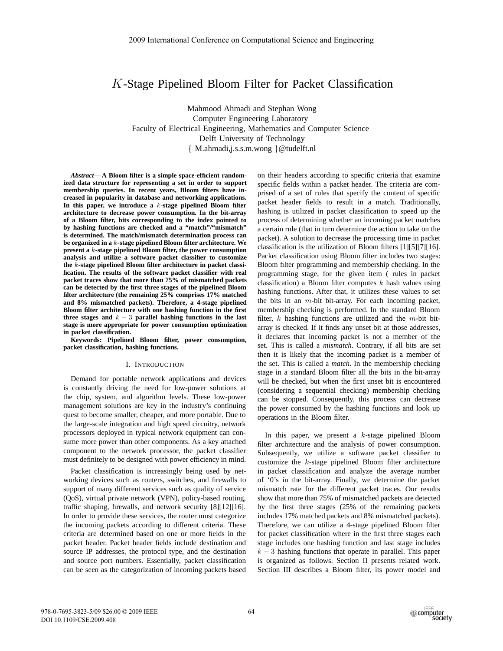# *K*-Stage Pipelined Bloom Filter for Packet Classification

Mahmood Ahmadi and Stephan Wong Computer Engineering Laboratory Faculty of Electrical Engineering, Mathematics and Computer Science Delft University of Technology { M.ahmadi,j.s.s.m.wong }@tudelft.nl

*Abstract***— A Bloom filter is a simple space-efficient randomized data structure for representing a set in order to support membership queries. In recent years, Bloom filters have increased in popularity in database and networking applications. In this paper, we introduce a** *k***-stage pipelined Bloom filter architecture to decrease power consumption. In the bit-array of a Bloom filter, bits corresponding to the index pointed to by hashing functions are checked and a "match"/"mismatch" is determined. The match/mismatch determination process can be organized in a** *k***-stage pipelined Bloom filter architecture. We present a** *k***-stage pipelined Bloom filter, the power consumption analysis and utilize a software packet classifier to customize the** *k***-stage pipelined Bloom filter architecture in packet classification. The results of the software packet classifier with real packet traces show that more than 75% of mismatched packets can be detected by the first three stages of the pipelined Bloom filter architecture (the remaining 25% comprises 17% matched and 8% mismatched packets). Therefore, a 4-stage pipelined Bloom filter architecture with one hashing function in the first three stages and** *k −* 3 **parallel hashing functions in the last stage is more appropriate for power consumption optimization in packet classification.**

**Keywords: Pipelined Bloom filter, power consumption, packet classification, hashing functions.**

#### I. INTRODUCTION

Demand for portable network applications and devices is constantly driving the need for low-power solutions at the chip, system, and algorithm levels. These low-power management solutions are key in the industry's continuing quest to become smaller, cheaper, and more portable. Due to the large-scale integration and high speed circuitry, network processors deployed in typical network equipment can consume more power than other components. As a key attached component to the network processor, the packet classifier must definitely to be designed with power efficiency in mind.

Packet classification is increasingly being used by networking devices such as routers, switches, and firewalls to support of many different services such as quality of service (QoS), virtual private network (VPN), policy-based routing, traffic shaping, firewalls, and network security [8][12][16]. In order to provide these services, the router must categorize the incoming packets according to different criteria. These criteria are determined based on one or more fields in the packet header. Packet header fields include destination and source IP addresses, the protocol type, and the destination and source port numbers. Essentially, packet classification can be seen as the categorization of incoming packets based on their headers according to specific criteria that examine specific fields within a packet header. The criteria are comprised of a set of rules that specify the content of specific packet header fields to result in a match. Traditionally, hashing is utilized in packet classification to speed up the process of determining whether an incoming packet matches a certain rule (that in turn determine the action to take on the packet). A solution to decrease the processing time in packet classification is the utilization of Bloom filters [1][5][7][16]. Packet classification using Bloom filter includes two stages: Bloom filter programming and membership checking. In the programming stage, for the given item ( rules in packet classification) a Bloom filter computes *k* hash values using hashing functions. After that, it utilizes these values to set the bits in an *m*-bit bit-array. For each incoming packet, membership checking is performed. In the standard Bloom filter, *k* hashing functions are utilized and the *m*-bit bitarray is checked. If it finds any unset bit at those addresses, it declares that incoming packet is not a member of the set. This is called a *mismatch*. Contrary, if all bits are set then it is likely that the incoming packet is a member of the set. This is called a *match*. In the membership checking stage in a standard Bloom filter all the bits in the bit-array will be checked, but when the first unset bit is encountered (considering a sequential checking) membership checking can be stopped. Consequently, this process can decrease the power consumed by the hashing functions and look up operations in the Bloom filter.

In this paper, we present a *k*-stage pipelined Bloom filter architecture and the analysis of power consumption. Subsequently, we utilize a software packet classifier to customize the *k*-stage pipelined Bloom filter architecture in packet classification and analyze the average number of '0's in the bit-array. Finally, we determine the packet mismatch rate for the different packet traces. Our results show that more than 75% of mismatched packets are detected by the first three stages (25% of the remaining packets includes 17% matched packets and 8% mismatched packets). Therefore, we can utilize a 4-stage pipelined Bloom filter for packet classification where in the first three stages each stage includes one hashing function and last stage includes  $k - 3$  hashing functions that operate in parallel. This paper is organized as follows. Section II presents related work. Section III describes a Bloom filter, its power model and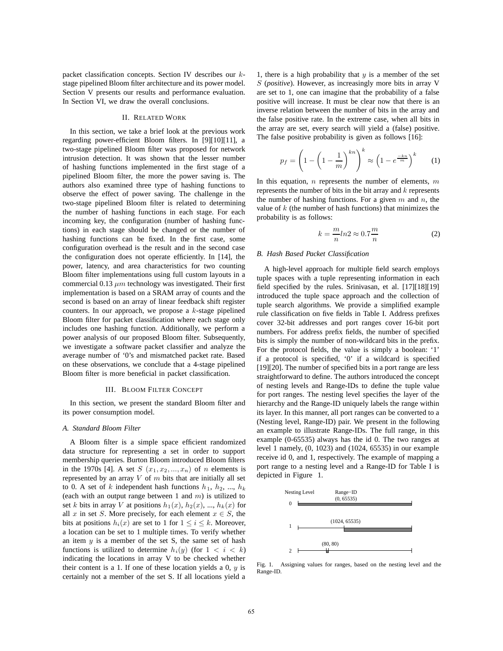packet classification concepts. Section IV describes our *k*stage pipelined Bloom filter architecture and its power model. Section V presents our results and performance evaluation. In Section VI, we draw the overall conclusions.

## II. RELATED WORK

In this section, we take a brief look at the previous work regarding power-efficient Bloom filters. In [9][10][11], a two-stage pipelined Bloom filter was proposed for network intrusion detection. It was shown that the lesser number of hashing functions implemented in the first stage of a pipelined Bloom filter, the more the power saving is. The authors also examined three type of hashing functions to observe the effect of power saving. The challenge in the two-stage pipelined Bloom filter is related to determining the number of hashing functions in each stage. For each incoming key, the configuration (number of hashing functions) in each stage should be changed or the number of hashing functions can be fixed. In the first case, some configuration overhead is the result and in the second case the configuration does not operate efficiently. In [14], the power, latency, and area characteristics for two counting Bloom filter implementations using full custom layouts in a commercial 0.13  $\mu$ m technology was investigated. Their first implementation is based on a SRAM array of counts and the second is based on an array of linear feedback shift register counters. In our approach, we propose a *k*-stage pipelined Bloom filter for packet classification where each stage only includes one hashing function. Additionally, we perform a power analysis of our proposed Bloom filter. Subsequently, we investigate a software packet classifier and analyze the average number of '0's and mismatched packet rate. Based on these observations, we conclude that a 4-stage pipelined Bloom filter is more beneficial in packet classification.

### III. BLOOM FILTER CONCEPT

In this section, we present the standard Bloom filter and its power consumption model.

# *A. Standard Bloom Filter*

A Bloom filter is a simple space efficient randomized data structure for representing a set in order to support membership queries. Burton Bloom introduced Bloom filters in the 1970s [4]. A set  $S(x_1, x_2, \ldots, x_n)$  of *n* elements is represented by an array *V* of *m* bits that are initially all set to 0. A set of *k* independent hash functions  $h_1$ ,  $h_2$ , ...,  $h_k$ (each with an output range between 1 and *m*) is utilized to set *k* bits in array *V* at positions  $h_1(x)$ ,  $h_2(x)$ , ...,  $h_k(x)$  for all *x* in set *S*. More precisely, for each element  $x \in S$ , the bits at positions  $h_i(x)$  are set to 1 for  $1 \le i \le k$ . Moreover, a location can be set to 1 multiple times. To verify whether an item *y* is a member of the set S, the same set of hash functions is utilized to determine  $h_i(y)$  (for  $1 < i < k$ ) indicating the locations in array V to be checked whether their content is a 1. If one of these location yields a 0, *y* is certainly not a member of the set S. If all locations yield a

1, there is a high probability that *y* is a member of the set *S* (*positive*). However, as increasingly more bits in array V are set to 1, one can imagine that the probability of a false positive will increase. It must be clear now that there is an inverse relation between the number of bits in the array and the false positive rate. In the extreme case, when all bits in the array are set, every search will yield a (false) positive. The false positive probability is given as follows [16]:

$$
p_f = \left(1 - \left(1 - \frac{1}{m}\right)^{kn}\right)^k \approx \left(1 - e^{\frac{-kn}{m}}\right)^k \tag{1}
$$

In this equation, *n* represents the number of elements, *m* represents the number of bits in the bit array and *k* represents the number of hashing functions. For a given *m* and *n*, the value of *k* (the number of hash functions) that minimizes the probability is as follows:

$$
k = \frac{m}{n} \ln 2 \approx 0.7 \frac{m}{n} \tag{2}
$$

## *B. Hash Based Packet Classification*

A high-level approach for multiple field search employs tuple spaces with a tuple representing information in each field specified by the rules. Srinivasan, et al. [17][18][19] introduced the tuple space approach and the collection of tuple search algorithms. We provide a simplified example rule classification on five fields in Table I. Address prefixes cover 32-bit addresses and port ranges cover 16-bit port numbers. For address prefix fields, the number of specified bits is simply the number of non-wildcard bits in the prefix. For the protocol fields, the value is simply a boolean: '1' if a protocol is specified, '0' if a wildcard is specified [19][20]. The number of specified bits in a port range are less straightforward to define. The authors introduced the concept of nesting levels and Range-IDs to define the tuple value for port ranges. The nesting level specifies the layer of the hierarchy and the Range-ID uniquely labels the range within its layer. In this manner, all port ranges can be converted to a (Nesting level, Range-ID) pair. We present in the following an example to illustrate Range-IDs. The full range, in this example (0-65535) always has the id 0. The two ranges at level 1 namely, (0, 1023) and (1024, 65535) in our example receive id 0, and 1, respectively. The example of mapping a port range to a nesting level and a Range-ID for Table I is depicted in Figure 1.



Fig. 1. Assigning values for ranges, based on the nesting level and the Range-ID.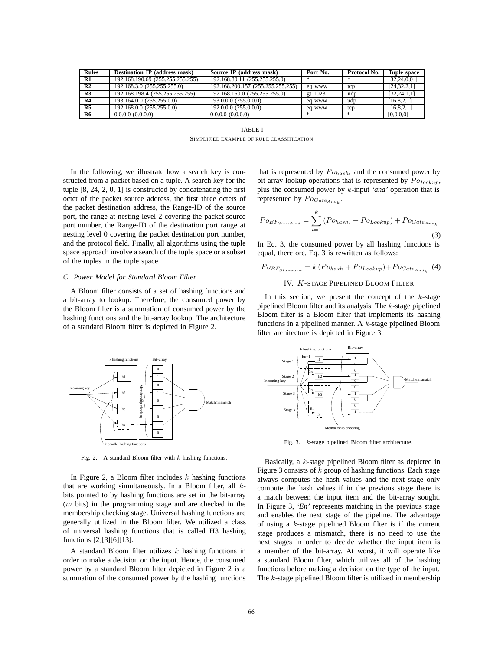| <b>Rules</b>   | <b>Destination IP</b> (address mask) | Source IP (address mask)          | Port No. | Protocol No. | Tuple space    |
|----------------|--------------------------------------|-----------------------------------|----------|--------------|----------------|
| R1             | 192.168.190.69 (255.255.255.255)     | 192.168.80.11 (255.255.255.0)     |          | 冰            | [32, 24, 0, 0] |
| R <sub>2</sub> | 192.168.3.0 (255.255.255.0)          | 192.168.200.157 (255.255.255.255) | ed www   | tcp          | [24, 32, 2, 1] |
| R3             | 192.168.198.4 (255.255.255.255)      | 192.168.160.0 (255.255.255.0)     | gt 1023  | udp          | [32, 24, 1, 1] |
| R4             | 193.164.0.0 $(255.255.0.0)$          | 193.0.0.0 (255.0.0.0)             | eg www   | udp          | [16, 8, 2, 1]  |
| R <sub>5</sub> | 192.168.0.0 (255.255.0.0)            | 192,0,0,0 (255,0,0,0)             | eg www   | tcp          | [16,8,2,1]     |
| R6             | 0.0.0.0(0.0.0.0)                     | 0.0.0.0(0.0.0.0)                  | 宋        | *            | [0,0,0,0]      |

TABLE I SIMPLIFIED EXAMPLE OF RULE CLASSIFICATION.

In the following, we illustrate how a search key is constructed from a packet based on a tuple. A search key for the tuple [8, 24, 2, 0, 1] is constructed by concatenating the first octet of the packet source address, the first three octets of the packet destination address, the Range-ID of the source port, the range at nesting level 2 covering the packet source port number, the Range-ID of the destination port range at nesting level 0 covering the packet destination port number, and the protocol field. Finally, all algorithms using the tuple space approach involve a search of the tuple space or a subset of the tuples in the tuple space.

## *C. Power Model for Standard Bloom Filter*

A Bloom filter consists of a set of hashing functions and a bit-array to lookup. Therefore, the consumed power by the Bloom filter is a summation of consumed power by the hashing functions and the bit-array lookup. The architecture of a standard Bloom filter is depicted in Figure 2.



$$
P_{^{OBF_{Standard}}} = \sum_{i=1}^{k} (P_{^{Ohash_i}} + P_{^{OLookup}}) + P_{^{OGate_{And_k}}}
$$
\n(3)

In Eq. 3, the consumed power by all hashing functions is equal, therefore, Eq. 3 is rewritten as follows:

$$
Po_{BF_{Standard}} = k (Po_{hash} + Po_{Lookup}) + Po_{Gate_{And_k}}
$$
 (4)

IV. *K*-STAGE PIPELINED BLOOM FILTER

In this section, we present the concept of the *k*-stage pipelined Bloom filter and its analysis. The *k*-stage pipelined Bloom filter is a Bloom filter that implements its hashing functions in a pipelined manner. A *k*-stage pipelined Bloom filter architecture is depicted in Figure 3.



Fig. 2. A standard Bloom filter with *k* hashing functions.

In Figure 2, a Bloom filter includes *k* hashing functions that are working simultaneously. In a Bloom filter, all *k*bits pointed to by hashing functions are set in the bit-array (*m* bits) in the programming stage and are checked in the membership checking stage. Universal hashing functions are generally utilized in the Bloom filter. We utilized a class of universal hashing functions that is called H3 hashing functions [2][3][6][13].

A standard Bloom filter utilizes *k* hashing functions in order to make a decision on the input. Hence, the consumed power by a standard Bloom filter depicted in Figure 2 is a summation of the consumed power by the hashing functions



Fig. 3. *k*-stage pipelined Bloom filter architecture.

Basically, a *k*-stage pipelined Bloom filter as depicted in Figure 3 consists of *k* group of hashing functions. Each stage always computes the hash values and the next stage only compute the hash values if in the previous stage there is a match between the input item and the bit-array sought. In Figure 3, *'En'* represents matching in the previous stage and enables the next stage of the pipeline. The advantage of using a *k*-stage pipelined Bloom filter is if the current stage produces a mismatch, there is no need to use the next stages in order to decide whether the input item is a member of the bit-array. At worst, it will operate like a standard Bloom filter, which utilizes all of the hashing functions before making a decision on the type of the input. The *k*-stage pipelined Bloom filter is utilized in membership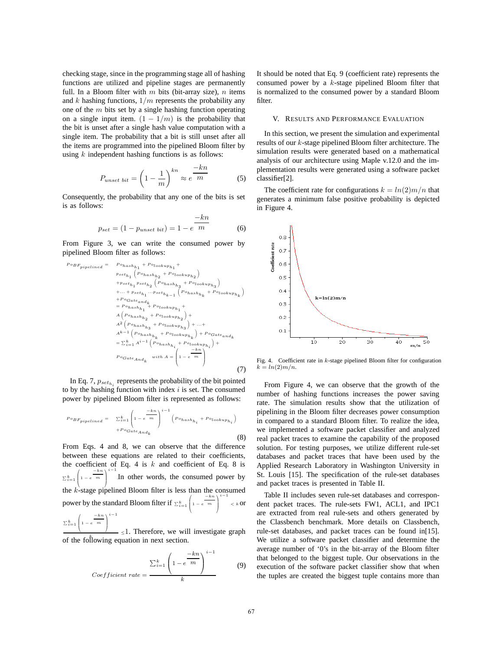checking stage, since in the programming stage all of hashing functions are utilized and pipeline stages are permanently full. In a Bloom filter with *m* bits (bit-array size), *n* items and *k* hashing functions, 1*/m* represents the probability any one of the *m* bits set by a single hashing function operating on a single input item.  $(1 - 1/m)$  is the probability that the bit is unset after a single hash value computation with a single item. The probability that a bit is still unset after all the items are programmed into the pipelined Bloom filter by using *k* independent hashing functions is as follows:

$$
P_{unset\;bit} = \left(1 - \frac{1}{m}\right)^{kn} \approx e^{-\frac{kn}{m}} \tag{5}
$$

Consequently, the probability that any one of the bits is set is as follows:

$$
p_{set} = (1 - p_{unset bit}) = 1 - e^{-\frac{-kn}{m}}
$$
 (6)

From Figure 3, we can write the consumed power by pipelined Bloom filter as follows:

*P oBFpipelined* <sup>=</sup> *P ohashh*<sup>1</sup> <sup>+</sup> *P olookuph*<sup>1</sup> + *pseth*<sup>1</sup> *P ohashh*<sup>2</sup> <sup>+</sup> *P olookuph*<sup>2</sup> <sup>+</sup>*pseth*<sup>1</sup> *pseth*<sup>2</sup> *P ohashh*<sup>3</sup> <sup>+</sup> *P olookuph*<sup>3</sup> <sup>+</sup>*...* <sup>+</sup> *pseth*<sup>1</sup> *...psethk*−<sup>1</sup> *P ohashhk* <sup>+</sup> *P olookuphk* <sup>+</sup>*P oGateandk* <sup>=</sup> *P ohashh*<sup>1</sup> <sup>+</sup> *P olookuph*<sup>1</sup> + *A P ohashh*<sup>2</sup> <sup>+</sup> *P olookuph*<sup>2</sup> + *A*2 *P ohashh*<sup>3</sup> <sup>+</sup> *P olookuph*<sup>3</sup> + *...*+ *Ak*−<sup>1</sup> *P ohashhk* <sup>+</sup> *P olookuphk* <sup>+</sup> *P oGateandk* <sup>=</sup> *<sup>k</sup> <sup>i</sup>*=1 *Ai*−<sup>1</sup> *P ohashhi* <sup>+</sup> *P olookuphi* + *P oGateAndk with A* = ⎛ ⎜⎜⎝<sup>1</sup> <sup>−</sup> *<sup>e</sup>* <sup>−</sup>*kn m* ⎞ ⎟⎟⎠ (7)

In Eq. 7,  $p_{set_{h_i}}$  represents the probability of the bit pointed to by the hashing function with index *i* is set. The consumed power by pipelined Bloom filter is represented as follows:

$$
{}^{Do}_{BF_{pipelined}} = \sum_{i=1}^{k} \left( 1 - e^{\frac{-kn}{m}} \right)^{i-1} \left( p_{o_{hash_{h_i}}} + p_{o_{lookup_{h_i}}} \right)
$$

$$
+ P_{o_{GateAnd_k}} \tag{8}
$$

From Eqs. 4 and 8, we can observe that the difference between these equations are related to their coefficients, the coefficient of Eq. 4 is *k* and coefficient of Eq. 8 is  $\sum_{i=1}^k$  $\Bigg(1-e$  $\begin{pmatrix} -kn \\ m \end{pmatrix}$  $\prod_{i=1}^{i-1}$  .In other words, the consumed power by the *k*-stage pipelined Bloom filter is less than the consumed power by the standard Bloom filter if  $\sum_{i=1}^{k}$  $\Bigg(1-e$  $\begin{bmatrix}\n-kn \\
m\n\end{bmatrix}$ *< k* or  $\sum_{i=1}^k$  $\Bigg(1-e$  $\begin{pmatrix} -kn \\ m \end{pmatrix}$ *<sup>i</sup>*−<sup>1</sup>

of the following equation in next section.  $\equiv$  <1. Therefore, we will investigate graph

$$
Coefficient\ rate = \frac{\sum_{i=1}^{k} \left(1 - e^{-\frac{-kn}{m}}\right)^{i-1}}{k}
$$
 (9)

It should be noted that Eq. 9 (coefficient rate) represents the consumed power by a *k*-stage pipelined Bloom filter that is normalized to the consumed power by a standard Bloom filter.

## V. RESULTS AND PERFORMANCE EVALUATION

In this section, we present the simulation and experimental results of our *k*-stage pipelined Bloom filter architecture. The simulation results were generated based on a mathematical analysis of our architecture using Maple v.12.0 and the implementation results were generated using a software packet classifier[2].

The coefficient rate for configurations  $k = ln(2)m/n$  that generates a minimum false positive probability is depicted in Figure 4.



Fig. 4. Coefficient rate in *k*-stage pipelined Bloom filter for configuration  $k = ln(2)m/n$ .

From Figure 4, we can observe that the growth of the number of hashing functions increases the power saving rate. The simulation results show that the utilization of pipelining in the Bloom filter decreases power consumption in compared to a standard Bloom filter. To realize the idea, we implemented a software packet classifier and analyzed real packet traces to examine the capability of the proposed solution. For testing purposes, we utilize different rule-set databases and packet traces that have been used by the Applied Research Laboratory in Washington University in St. Louis [15]. The specification of the rule-set databases and packet traces is presented in Table II.

Table II includes seven rule-set databases and correspondent packet traces. The rule-sets FW1, ACL1, and IPC1 are extracted from real rule-sets and others generated by the Classbench benchmark. More details on Classbench, rule-set databases, and packet traces can be found in[15]. We utilize a software packet classifier and determine the average number of '0's in the bit-array of the Bloom filter that belonged to the biggest tuple. Our observations in the execution of the software packet classifier show that when the tuples are created the biggest tuple contains more than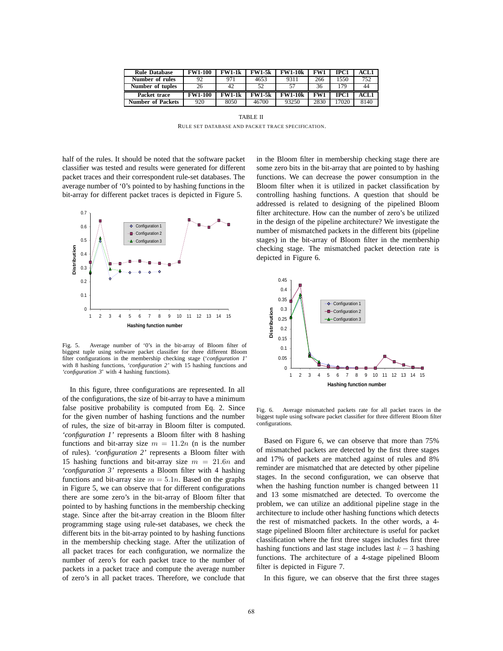| <b>Rule Database</b> | <b>FW1-100</b> | <b>FW1-1k</b> | <b>FW1-5k</b> | <b>FW1-10k</b> | FW1  | IPC1 | ACL1 |
|----------------------|----------------|---------------|---------------|----------------|------|------|------|
| Number of rules      | 92             | 971           | 4653          | 9311           | 266  | 1550 | 752  |
| Number of tuples     | 26             | 42            | 52            |                | 36   | 179  | 44   |
| Packet trace         | <b>FW1-100</b> | <b>FW1-1k</b> | <b>FW1-5k</b> | <b>FW1-10k</b> | FW1  | IPC1 | ACL1 |
| Number of Packets    | 920            | 8050          | 46700         | 93250          | 2830 | 7020 | 8140 |

TABLE II RULE SET DATABASE AND PACKET TRACE SPECIFICATION.

half of the rules. It should be noted that the software packet classifier was tested and results were generated for different packet traces and their correspondent rule-set databases. The average number of '0's pointed to by hashing functions in the bit-array for different packet traces is depicted in Figure 5.



Fig. 5. Average number of '0's in the bit-array of Bloom filter of biggest tuple using software packet classifier for three different Bloom filter configurations in the membership checking stage ('*configuration 1*' with 8 hashing functions, *'configuration 2'* with 15 hashing functions and *'configuration 3*' with 4 hashing functions).

In this figure, three configurations are represented. In all of the configurations, the size of bit-array to have a minimum false positive probability is computed from Eq. 2. Since for the given number of hashing functions and the number of rules, the size of bit-array in Bloom filter is computed. *'configuration 1'* represents a Bloom filter with 8 hashing functions and bit-array size  $m = 11.2n$  (n is the number of rules). *'configuration 2'* represents a Bloom filter with 15 hashing functions and bit-array size *m* = 21*.*6*n* and *'configuration 3'* represents a Bloom filter with 4 hashing functions and bit-array size  $m = 5.1n$ . Based on the graphs in Figure 5, we can observe that for different configurations there are some zero's in the bit-array of Bloom filter that pointed to by hashing functions in the membership checking stage. Since after the bit-array creation in the Bloom filter programming stage using rule-set databases, we check the different bits in the bit-array pointed to by hashing functions in the membership checking stage. After the utilization of all packet traces for each configuration, we normalize the number of zero's for each packet trace to the number of packets in a packet trace and compute the average number of zero's in all packet traces. Therefore, we conclude that

in the Bloom filter in membership checking stage there are some zero bits in the bit-array that are pointed to by hashing functions. We can decrease the power consumption in the Bloom filter when it is utilized in packet classification by controlling hashing functions. A question that should be addressed is related to designing of the pipelined Bloom filter architecture. How can the number of zero's be utilized in the design of the pipeline architecture? We investigate the number of mismatched packets in the different bits (pipeline stages) in the bit-array of Bloom filter in the membership checking stage. The mismatched packet detection rate is depicted in Figure 6.



Fig. 6. Average mismatched packets rate for all packet traces in the biggest tuple using software packet classifier for three different Bloom filter configurations.

Based on Figure 6, we can observe that more than 75% of mismatched packets are detected by the first three stages and 17% of packets are matched against of rules and 8% reminder are mismatched that are detected by other pipeline stages. In the second configuration, we can observe that when the hashing function number is changed between 11 and 13 some mismatched are detected. To overcome the problem, we can utilize an additional pipeline stage in the architecture to include other hashing functions which detects the rest of mismatched packets. In the other words, a 4 stage pipelined Bloom filter architecture is useful for packet classification where the first three stages includes first three hashing functions and last stage includes last *k* − 3 hashing functions. The architecture of a 4-stage pipelined Bloom filter is depicted in Figure 7.

In this figure, we can observe that the first three stages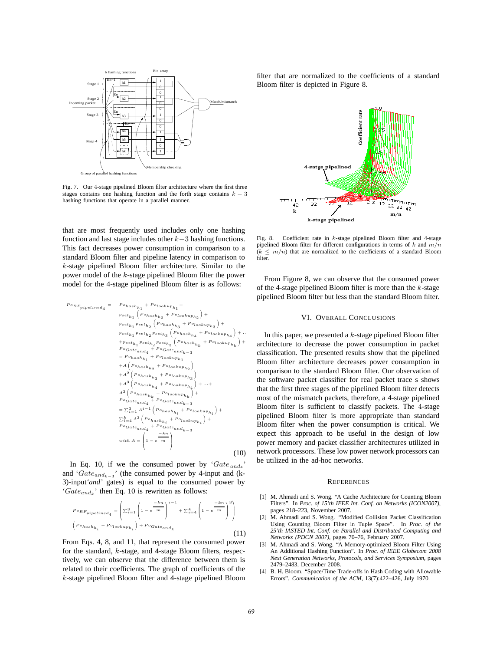

Fig. 7. Our 4-stage pipelined Bloom filter architecture where the first three stages contains one hashing function and the forth stage contains  $k - 3$ hashing functions that operate in a parallel manner.

that are most frequently used includes only one hashing function and last stage includes other *k*−3 hashing functions. This fact decreases power consumption in comparison to a standard Bloom filter and pipeline latency in comparison to *k*-stage pipelined Bloom filter architecture. Similar to the power model of the *k*-stage pipelined Bloom filter the power model for the 4-stage pipelined Bloom filter is as follows:

$$
P \circ B \cdot F_{pipelined_4} = P \circ h_{ashh_1} + P \circ l \circ \circ h_{hp_1} + P \circ l \circ \circ h_{hp_1} + P \circ l \circ h_{hp_1} + P \circ l \circ h_{hp_1} + P \circ l \circ h_{hp_1} + P \circ l \circ h_{hp_1} + P \circ l \circ h_{hp_1} + P \circ l \circ h_{hp_1} + P \circ l \circ h_{hp_1} + P \circ l \circ h_{hp_1} + P \circ l \circ h_{he_1} + P \circ l \circ h_{he_1} + P \circ l \circ h_{he_1} + P \circ l \circ h_{he_1} + P \circ l \circ h_{he_1} + P \circ l \circ h_{he_1} + P \circ l \circ h_{he_1} + P \circ l \circ h_{he_1} + P \circ l \circ h_{he_1} + P \circ l \circ h_{he_1} + P \circ l \circ h_{he_1} + P \circ l \circ h_{he_1} + P \circ l \circ h_{he_1} + P \circ l \circ h_{he_1} + P \circ l \circ h_{he_1} + P \circ l \circ h_{he_1} + P \circ l \circ h_{he_1} + P \circ l \circ h_{he_1} + P \circ l \circ h_{he_1} + P \circ l \circ h_{he_1} + P \circ l \circ h_{he_1} + P \circ l \circ h_{he_1} + P \circ l \circ h_{he_1} + P \circ l \circ h_{he_1} + P \circ l \circ h_{he_1} + P \circ l \circ h_{he_1} + P \circ l \circ h_{he_1} + P \circ l \circ h_{he_1} + P \circ l \circ h_{he_1} + P \circ l \circ h_{he_1} + P \circ l \circ h_{he_1} + P \circ l \circ h_{he_1} + P \circ l \circ h_{he_1} + P \circ l \circ h_{he_1} + P \circ l \circ h_{he_1} + P \circ l \circ h_{he_1} + P \circ l \circ h_{he_1} + P \circ l \circ h_{he_1} + P \circ l \circ h_{he_1} + P \circ l \circ h_{he_1} + P \circ l \circ h_{he_1} + P \circ l \circ h_{he_1} + P \circ l \circ h_{he_1} + P \circ l \circ h_{he_1} + P \circ l \circ h_{he_1} + P \circ l \circ h_{he_1} + P
$$

In Eq. 10, if we the consumed power by  $Gate_{and_4}$ and '*Gateandk*−<sup>3</sup> ' (the consumed power by 4-input and (k-3)-input*'and'* gates) is equal to the consumed power by '*Gateand<sup>k</sup>* ' then Eq. 10 is rewritten as follows:

$$
{}^{Po}_{Pipelined_4} = \left(\Sigma_{i=1}^3 \left(1 - e^{-kn}\right)^{i-1} + \Sigma_{i=4}^k \left(1 - e^{-kn}\right)^3\right)
$$
  

$$
\left(P_{o_{hash_{h_i}}} + P_{o_{lookup_{h_i}}}\right) + P_{oGate_{and_k}}
$$
  
(11)

From Eqs. 4, 8, and 11, that represent the consumed power for the standard, *k*-stage, and 4-stage Bloom filters, respectively, we can observe that the difference between them is related to their coefficients. The graph of coefficients of the *k*-stage pipelined Bloom filter and 4-stage pipelined Bloom filter that are normalized to the coefficients of a standard Bloom filter is depicted in Figure 8.



Fig. 8. Coefficient rate in *k*-stage pipelined Bloom filter and 4-stage pipelined Bloom filter for different configurations in terms of *k* and *m/n*  $(k \leq m/n)$  that are normalized to the coefficients of a standard Bloom filter.

From Figure 8, we can observe that the consumed power of the 4-stage pipelined Bloom filter is more than the *k*-stage pipelined Bloom filter but less than the standard Bloom filter.

## VI. OVERALL CONCLUSIONS

In this paper, we presented a *k*-stage pipelined Bloom filter architecture to decrease the power consumption in packet classification. The presented results show that the pipelined Bloom filter architecture decreases power consumption in comparison to the standard Bloom filter. Our observation of the software packet classifier for real packet trace s shows that the first three stages of the pipelined Bloom filter detects most of the mismatch packets, therefore, a 4-stage pipelined Bloom filter is sufficient to classify packets. The 4-stage pipelined Bloom filter is more appropriate than standard Bloom filter when the power consumption is critical. We expect this approach to be useful in the design of low power memory and packet classifier architectures utilized in network processors. These low power network processors can be utilized in the ad-hoc networks.

#### **REFERENCES**

- [1] M. Ahmadi and S. Wong. "A Cache Architecture for Counting Bloom Filters". In *Proc. of 15'th IEEE Int. Conf. on Networks (ICON2007)*, pages 218–223, November 2007.
- [2] M. Ahmadi and S. Wong. "Modified Collision Packet Classification Using Counting Bloom Filter in Tuple Space". In *Proc. of the 25'th IASTED Int. Conf. on Parallel and Distributed Computing and Networks (PDCN 2007)*, pages 70–76, February 2007.
- [3] M. Ahmadi and S. Wong. "A Memory-optimized Bloom Filter Using An Additional Hashing Function". In *Proc. of IEEE Globecom 2008 Next Generation Networks, Protocols, and Services Symposium*, pages 2479–2483, December 2008.
- [4] B. H. Bloom. "Space/Time Trade-offs in Hash Coding with Allowable Errors". *Communication of the ACM*, 13(7):422–426, July 1970.